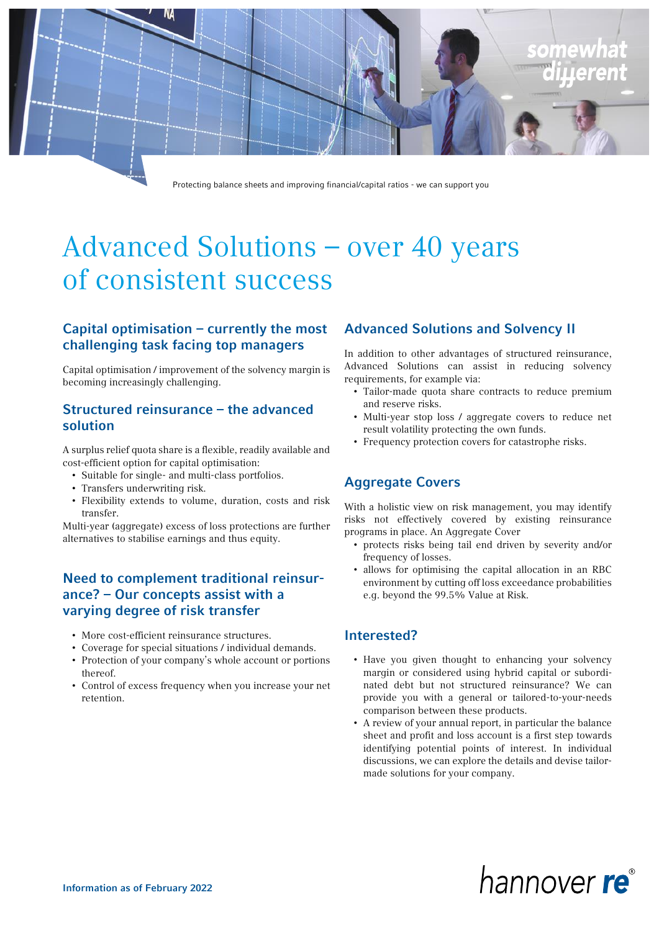

Protecting balance sheets and improving financial/capital ratios - we can support you

# Advanced Solutions – over 40 years of consistent success

## Capital optimisation – currently the most challenging task facing top managers

Capital optimisation / improvement of the solvency margin is becoming increasingly challenging.

### Structured reinsurance – the advanced solution

A surplus relief quota share is a flexible, readily available and cost-efficient option for capital optimisation:

- Suitable for single- and multi-class portfolios.
- Transfers underwriting risk.
- Flexibility extends to volume, duration, costs and risk transfer.

Multi-year (aggregate) excess of loss protections are further alternatives to stabilise earnings and thus equity.

### Need to complement traditional reinsurance? – Our concepts assist with a varying degree of risk transfer

- More cost-efficient reinsurance structures.
- Coverage for special situations / individual demands.
- Protection of your company's whole account or portions thereof.
- Control of excess frequency when you increase your net retention.

### Advanced Solutions and Solvency II

In addition to other advantages of structured reinsurance, Advanced Solutions can assist in reducing solvency requirements, for example via:

- Tailor-made quota share contracts to reduce premium and reserve risks.
- Multi-year stop loss / aggregate covers to reduce net result volatility protecting the own funds.
- Frequency protection covers for catastrophe risks.

### Aggregate Covers

With a holistic view on risk management, you may identify risks not effectively covered by existing reinsurance programs in place. An Aggregate Cover

- protects risks being tail end driven by severity and/or frequency of losses.
- allows for optimising the capital allocation in an RBC environment by cutting off loss exceedance probabilities e.g. beyond the 99.5% Value at Risk.

### Interested?

- Have you given thought to enhancing your solvency margin or considered using hybrid capital or subordinated debt but not structured reinsurance? We can provide you with a general or tailored-to-your-needs comparison between these products.
- A review of your annual report, in particular the balance sheet and profit and loss account is a first step towards identifying potential points of interest. In individual discussions, we can explore the details and devise tailormade solutions for your company.

# hannover re